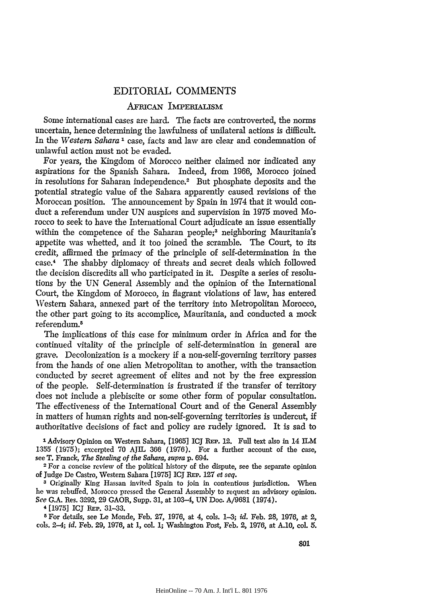## EDITORIAL COMMENTS

## AFRICAN IMPERALISM

Some international cases are hard. The facts are controverted, the norms uncertain, hence determining the lawfulness of unilateral actions is difficult. In the *Western Sahara .* case, facts and law are clear and condemnation of unlawful action must not be evaded.

For years, the Kingdom of Morocco neither claimed nor indicated any aspirations for the Spanish Sahara. Indeed, from 1966, Morocco joined in resolutions for Saharan independence.2 But phosphate deposits and the potential strategic value of the Sahara apparently caused revisions of the Moroccan position. The announcement by Spain in 1974 that it would conduct a referendum under UN auspices and supervision in 1975 moved Morocco to seek to have the International Court adjudicate an issue essentially within the competence of the Saharan people;<sup>3</sup> neighboring Mauritania's appetite was whetted, and it too joined the scramble. The Court, to its credit, affirmed the primacy of the principle of self-determination in the case.4 The shabby diplomacy of threats and secret deals which followed the decision discredits all who participated in it. Despite a series of resolutions by the UN General Assembly and the opinion of the International Court, the Kingdom of Morocco, in flagrant violations of law, has entered Western Sahara, annexed part of the territory into Metropolitan Morocco, the other part going to its accomplice, Mauritania, and conducted a mock referendum. <sup>5</sup>

The implications of this case for minimum order in Africa and for the continued vitality of the principle of self-determination in general are grave. Decolonization is a mockery if a non-self-governing territory passes from the hands of one alien Metropolitan to another, with the transaction conducted by secret agreement of elites and not by the free expression of the people. Self-determination is frustrated if the transfer of territory does not include a plebiscite or some other form of popular consultation. The effectiveness of the International Court and of the General Assembly in matters of human rights and non-self-governing territories is undercut, if authoritative decisions of fact and policy are rudely ignored. It is sad to

**1** Advisory Opinion on Western Sahara, [1965] **ICJ** REP. 12. Full text also in 14 ILM 1355 (1975); excerpted 70 AJIL 366 (1976). For a further account of the case, see T. Franck, *The Stealing of the Sahara, supra* **p.** 694.

**<sup>2</sup>**For a concise review of the political history of the dispute, see the separate opinion of Judge De Castro, Western Sahara [1975] ICJ REP. 127 *et seq.* 

**<sup>3</sup>**Originally King Hassan invited Spain to join in contentious jurisdiction. When he was rebuffed, Morocco pressed the General Assembly to request an advisory opinion. *See* G.A. Res. 3292, 29 GAOR, Supp. 31, at 103-4, UN Doc. A/9681 (1974).

**&** [1975] ICJ REPa. 31-33.

**5** For details, see Le Monde, Feb. 27, 1976, at 4, cols. 1-3; *id.* Feb. **28,** 1976, at 2, cols. 2-4; *id.* Feb. 29, 1976, at 1, col 1; Washington Post, Feb. 2, 1976, at A.10, col *5.*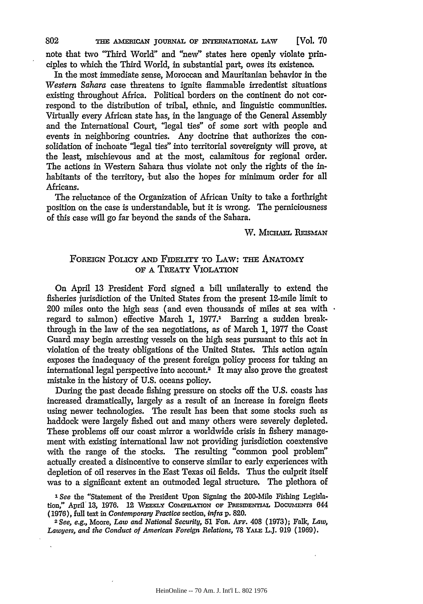THE AMERICAN JOURNAL OF INTERNATIONAL LAW [Vol. **70**

note that two "Third World" and "new" states here openly violate principles to which the Third World, in substantial part, owes its existence.

In the most immediate sense, Moroccan and Mauritanian behavior in the *Western Sahara* case threatens to ignite flammable irredentist situations existing throughout Africa. Political borders on the continent do not correspond to the distribution of tribal, ethnic, and linguistic communities. Virtually every African state has, in the language of the General Assembly and the International Court, "legal ties" of some sort with people and events in neighboring countries. Any doctrine that authorizes the consolidation of inchoate "legal ties" into territorial sovereignty will prove, at the least, mischievous and at the most, calamitous for regional order. The actions in Western Sahara thus violate not only the rights of the inhabitants of the territory, but also the hopes for minimum order for all Africans.

The reluctance of the Organization of African Unity to take a forthright position on the case is understandable, but it is wrong. The perniciousness of this case will go far beyond the sands of the Sahara.

W. MICHAEL REISMAN

## FOREIGN POLICY **AND** FiDELiry TO LAW: THE ANATOMY OF A TREATY VIOLATION

On April 13 President Ford signed a bill unilaterally to extend the fisheries jurisdiction of the United States from the present 12-mile limit to 200 miles onto the high seas (and even thousands of miles at sea with  $\cdot$ regard to salmon) effective March 1, 1977.<sup>1</sup> Barring a sudden breakthrough in the law of the sea negotiations, as of March **1,** 1977 the Coast Guard may begin arresting vessels on the high seas pursuant to this act in violation of the treaty obligations of the United States. This action again exposes the inadequacy of the present foreign policy process for taking an international legal perspective into account.<sup>2</sup> It may also prove the greatest mistake in the history of U.S. oceans policy.

During the past decade fishing pressure on stocks off the U.S. coasts has increased dramatically, largely as a result of an increase in foreign fleets using newer technologies. The result has been that some stocks such as haddock were largely fished out and many others were severely depleted. These problems off our coast mirror a worldwide crisis in fishery management with existing international law not providing jurisdiction coextensive with the range of the stocks. The resulting "common pool problem" actually created a disincentive to conserve similar to early experiences with depletion of oil reserves in the East Texas oil fields. Thus the culprit itself was to a significant extent an outmoded legal structure. The plethora of

*'See* the "Statement of the President Upon Signing the 200-Mile Fishing Legislation," April 13, 1976. 12 WEEKLY COMPILATION OF PRESIDENTIAL DOCUMENTS 644 (1976), full text in *Contemporary Practice* section, *infra* **p. 820.** *<sup>2</sup>* See, e.g., Moore, *Law and National Security,* 51 For. Arr. 408 (1973); Falk, *Law,*

*Lawyers, and the Conduct of American Foreign Relations,* 78 **YALE** LJ. 919 (1969).

802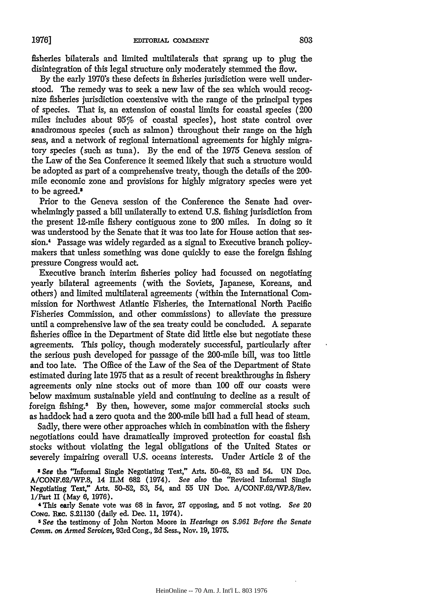fisheries bilaterals and limited multilaterals that sprang up to plug the disintegration of this legal structure only moderately stemmed the flow.

**By** the early 1970's these defects in fisheries jurisdiction were well understood. The remedy was to seek a new law of the sea which would recognize fisheries jurisdiction coextensive with the range of the principal types of species. That is, an extension of coastal limits for coastal species (200 miles includes about 95% of coastal species), host state control over anadromous species (such as salmon) throughout their range on the high seas, and a network of regional international agreements for highly migratory species (such as tuna). By the end of the 1975 Geneva session of the Law of the Sea Conference it seemed likely that such a structure would be adopted as part of a comprehensive treaty, though the details of the 200 mile economic zone and provisions for highly migratory species were yet to be agreed.<sup>3</sup>

Prior to the Geneva session of the Conference the Senate had overwhelmingly passed a bill unilaterally to extend U.S. fishing jurisdiction from the present 12-mile fishery contiguous zone to 200 miles. In doing so it was understood by the Senate that it was too late for House action that session.4 Passage was widely regarded as a signal to Executive branch policymakers that unless something was done quickly to ease the foreign fishing pressure Congress would act.

Executive branch interim fisheries policy had focussed on negotiating yearly bilateral agreements (with the Soviets, Japanese, Koreans, and others) and limited multilateral agreements (within the International Commission for Northwest Atlantic Fisheries, the International North Pacific Fisheries Commission, and other commissions) to alleviate the pressure until a comprehensive law of the sea treaty could be concluded. **A** separate fisheries office in the Department of State did little else but negotiate these agreements. This policy, though moderately successful, particularly after the serious push developed for passage of the 200-mile bill, was too little and too late. The Office of the Law of the Sea of the Department of State estimated during late 1975 that as a result of recent breakthroughs in fishery agreements only nine stocks out of more than **100** off our coasts were below maximum sustainable yield and continuing to decline as a result of foreign fishing.<sup>5</sup> By then, however, some major commercial stocks such as haddock had a zero quota and the 200-mile bill had a full head of steam.

Sadly, there were other approaches which in combination with the fishery negotiations could have dramatically improved protection for coastal fish stocks without violating the legal obligations of the United States or severely impairing overall U.S. oceans interests. Under Article 2 of the

*3 See* the "Informal Single Negotiating Text," Arts. **50-62, 53 and** 54. **UN** Doe. A/CONF.62/WP.8, 14 ILM **682** (1974). *See also* the "Revised Informal Single Negotiating Text," Arts. 50-52, 53, 54, and 55 **UN** Doc. A/CONF.62/WP.8/Rev. 1/Part U (May **6, 1976).**

4 This early Senate vote was 68 in favor, 27 opposing, and 5 not voting. *See 20* Cong. Rzc. S.21130 (daily ed. Dec. 11, 1974).

5 *See* the testimony of John Norton Moore in *Hearings on S.961 Before the Senate Comm. on Armed Services,* 93rd Cong., 2d Sess., Nov. **19,** 1975.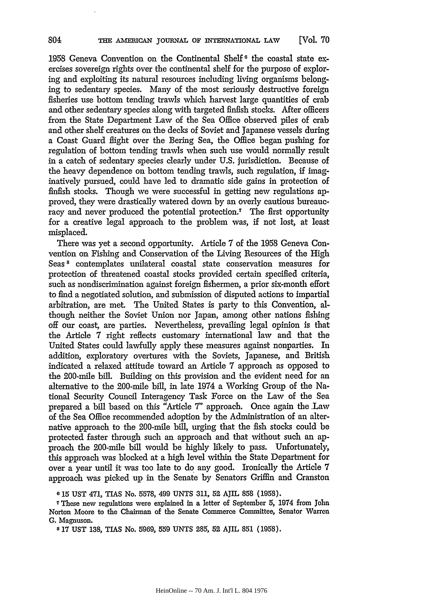1958 Geneva Convention on the Continental Shelf<sup>6</sup> the coastal state exercises sovereign rights over the continental shelf for the purpose of exploring and exploiting its natural resources including living organisms belonging to sedentary species. Many of the most seriously destructive foreign fisheries use bottom tending trawls which harvest large quantities of crab and other sedentary species along with targeted finfish stocks. After officers from the State Department Law of the Sea Office observed piles of crab and other shelf creatures on the decks of Soviet and Japanese vessels during a Coast Guard flight over the Bering Sea, the Office began pushing for regulation of bottom tending trawls when such use would normally result in a catch of sedentary species clearly under U.S. jurisdiction. Because of the heavy dependence on bottom tending trawls, such regulation, if imaginatively pursued, could have led to dramatic side gains in protection of finfish stocks. Though we were successful in getting new regulations approved, they were drastically watered down by an overly cautious bureaucracy and never produced the potential protection.7 The first opportunity for a creative legal approach to the problem was, if not lost, at least misplaced.

There was yet a second opportunity. Article 7 of the 1958 Geneva Convention on Fishing and Conservation of the Living Resources of the High Seas<sup>8</sup> contemplates unilateral coastal state conservation measures for protection of threatened coastal stocks provided certain specified criteria, such as nondiscrimination against foreign fishermen, a prior six-month effort to find a negotiated solution, and submission of disputed actions to impartial arbitration, are met. The United States is party to this Convention, although neither the Soviet Union nor Japan, among other nations fishing off our coast, are parties. Nevertheless, prevailing legal opinion is that the Article 7 right reflects customary international law and that the United States could lawfully apply these measures against nonparties. In addition, exploratory overtures with the Soviets, Japanese, and British indicated a relaxed attitude toward an Article 7 approach as opposed to the 200-mile bill. Building on this provision and the evident need for an alternative to the 200-mile bill, in late 1974 a Working Group of the National Security Council Interagency Task Force on the Law of the Sea prepared a bill based on this "Article *7"* approach. Once again the Law of the Sea Office recommended adoption by the Administration of an alternative approach to the 200-mile bill, urging that the fish stocks could be protected faster through such an approach and that without such an approach the 200-mile bill would be highly likely to pass. Unfortunately, this approach was blocked at a high level within the State Department for over a year until it was too late to do any good. Ironically the Article 7 approach was picked up in the Senate by Senators Griffin and Cranston

804

**<sup>6</sup>** 15 UST 471, TIAS No. 5578, 499 UNTS 311, 52 AJIL 858 (1958).

<sup>7</sup>These new regulations were explained in a letter of September 5, 1974 from John Norton Moore to the Chairman of the Senate Commerce Committee, Senator Warren **G.** Magnuson.

**<sup>8</sup>** 17 **UST** 138, TIAS No. 5969, 559 UNTS 285, 52 AJIL **851** (1958).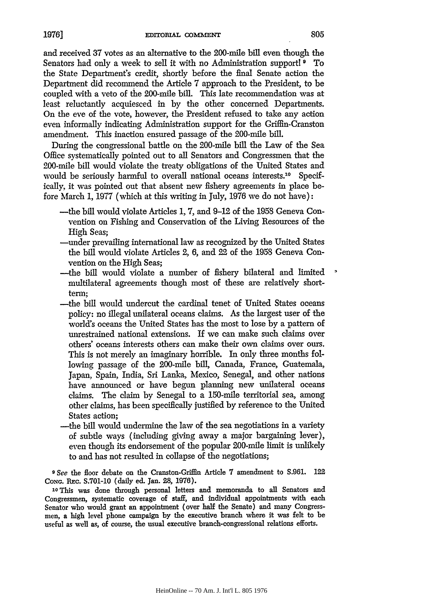and received 37 votes as an alternative to the 200-mile bill even though the Senators had only a week to sell it with no Administration support! **9** To the State Department's credit, shortly before the final Senate action the Department did recommend the Article 7 approach to the President, to be coupled with a veto of the 200-mile bill. This late recommendation was at least reluctantly acquiesced in by the other concerned Departments. On the eve of the vote, however, the President refused to take any action even informally indicating Administration support for the Griffin-Cranston amendment. This inaction ensured passage of the 200-mile bill.

During the congressional battle on the 200-mile bill the Law of the Sea Office systematically pointed out to all Senators and Congressmen that the 200-mile bill would violate the treaty obligations of the United States and would be seriously harmful to overall national oceans interests.<sup>10</sup> Specifically, it was pointed out that absent new fishery agreements in place before March 1, 1977 (which at this writing in July, 1976 we do not have):

- -the bill would violate Articles 1, 7, and 9-12 of the 1958 Geneva Convention on Fishing and Conservation of the Living Resources of the High Seas;
- -under prevailing international law as recognized by the United States the bill would violate Articles 2, 6, and 22 of the 1958 Geneva Convention on the High Seas;
- -the bill would violate a number of fishery bilateral and limited multilateral agreements though most of these are relatively shortterm;
- -the bill would undercut the cardinal tenet of United States oceans policy: no illegal unilateral oceans claims. As the largest user of the world's oceans the United States has the most to lose by a pattern of unrestrained national extensions. If we can make such claims over others' oceans interests others can make their own claims over ours. This is not merely an imaginary horrible. In only three months following passage of the 200-mile bill, Canada, France, Guatemala, Japan, Spain, India, Sri Lanka, Mexico, Senegal, and other nations have announced or have begun planning new unilateral oceans claims. The claim by Senegal to a 150-mile territorial sea, among other claims, has been specifically justified by reference to the United States action;
- -the bill would undermine the law of the sea negotiations in a variety of subtle ways (including giving away a major bargaining lever), even though its endorsement of the popular 200-mile limit is unlikely to and has not resulted in collapse of the negotiations;

*9* See the floor debate on the Cranston-Griffin Article 7 amendment to S.961. 122 **CONG. REc.** S.701-10 (daily ed. Jan. 28, 1976).

10This was done through personal letters and memoranda to all Senators and Congressmen, systematic coverage of staff, and individual appointments with each Senator who would grant an appointment (over balf the Senate) and many Congressmen, a high level phone campaign **by** the executive branch where it was felt to be useful as well as, of course, the usual executive branch-congressional relations efforts.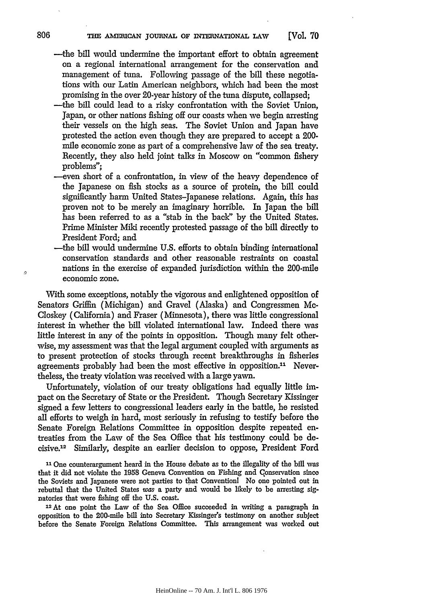THE AMERICAN JOURNAL OF INTERNATIONAL LAW **[Vol. 70**

- -the bill would undermine the important effort to obtain agreement on a regional international arrangement for the conservation and management of tuna. Following passage of the bill these negotiations with our Latin American neighbors, which had been the most promising in the over 20-year history of the tuna dispute, collapsed;
- -the bill could lead to a risky confrontation with the Soviet Union, Japan, or other nations fishing off our coasts when we begin arresting their vessels on the high seas. The Soviet Union and Japan have protested the action even though they are prepared to accept a 200 mile economic zone as part of a comprehensive law of the sea treaty. Recently, they also held joint talks in Moscow on "common fishery problems";
- -even short of a confrontation, in view of the heavy dependence of the Japanese on fish stocks as a source of protein, the bill could significantly harm United States-Japanese relations. Again, this has proven not to be merely an imaginary horrible. In Japan the bill has been referred to as a "stab in the back" by the United States. Prime Minister Mild recently protested passage of the bill directly to President Ford; and
- -the bill would undermine U.S. efforts to obtain binding international conservation standards and other reasonable restraints on coastal nations in the exercise of expanded jurisdiction within the 200-mile economic zone.

With some exceptions, notably the vigorous and enlightened opposition of Senators Griffin (Michigan) and Gravel (Alaska) and Congressmen Mc-Closkey (California) and Fraser (Minnesota), there was little congressional interest in whether the bill violated international law. Indeed there was little interest in any of the points in opposition. Though many felt otherwise, my assessment was that the legal argument coupled with arguments as to present protection of stocks through recent breakthroughs in fisheries agreements probably had been the most effective in opposition."' Nevertheless, the treaty violation was received with a large yawn.

Unfortunately, violation of our treaty obligations had equally little impact on the Secretary of State or the President. Though Secretary Kissinger signed a few letters to congressional leaders early in the battle, he resisted all efforts to weigh in hard, most seriously in refusing to testify before the Senate Foreign Relations Committee in opposition despite repeated entreaties from the Law of the Sea Office that his testimony could be decisive.<sup>12</sup> Similarly, despite an earlier decision to oppose, President Ford

**<sup>11</sup>**One counterargument heard in the House debate as to the illegality of the bill was that it did not violate the 1958 Geneva Convention on Fishing and Conservation since the Soviets and Japanese were not parties to that Convention No one pointed out in rebuttal that the United States was a party and would be likely to be arresting signatories that were fishing off the U.S. coast.

12At one point the Law of the Sea Office succeeded in writing a paragraph in opposition to the 200-mile bill into Secretary Kissinger's testimony on another subject before the Senate Foreign Relations Committee. This arrangement was worked out

806

 $\Omega$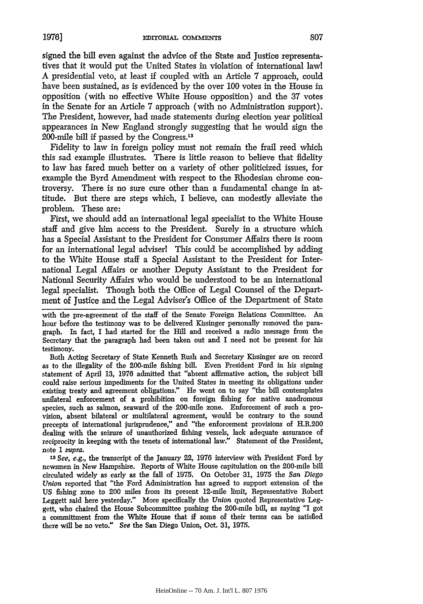signed the bill even against the advice of the State and Justice representatives that it would put the United States in violation of international lawl A presidential veto, at least if coupled with an Article 7 approach, could have been sustained, as is evidenced by the over 100 votes in the House in opposition (with no effective White House opposition) and the 37 votes in the Senate for an Article 7 approach (with no Administration support). The President, however, had made statements during election year political appearances in New England strongly suggesting that he would sign the 200-mile bill if passed by the Congress.<sup>13</sup>

Fidelity to law in foreign policy must not remain the frail reed which this sad example illustrates. There is little reason to believe that fidelity to law has fared much better on a variety of other politicized issues, for example the Byrd Amendment with respect to the Rhodesian chrome controversy. There is no sure cure other than a fundamental change in attitude. But there are steps which, I believe, can modestly alleviate the problem. These are:

First, we should add an international legal specialist to the White House staff and give him access to the President. Surely in a structure which has a Special Assistant to the President for Consumer Affairs there is room for an international legal adviser! This could be accomplished by adding to the White House staff a Special Assistant to the President for International Legal Affairs or another Deputy Assistant to the President for National Security Affairs who would be understood to be an international legal specialist. Though both the Office of Legal Counsel of the Department of Justice and the Legal Adviser's Office of the Department of State

with the pre-agreement of the staff of the Senate Foreign Relations Committee. An hour before the testimony was to be delivered Kissinger personally removed the paragraph. In fact, I had started for the Hill and received a radio message from the Secretary that the paragraph had been taken out and I need not be present for his testimony.

Both Acting Secretary of State Kenneth Rush and Secretary Kissinger are on record as to the illegality of the 200-mile fishing bill. Even President Ford in his signing statement of April **13,** 1976 admitted that "absent affirmative action, the subject bill could raise serious impediments for the United States in meeting its obligations under existing treaty and agreement obligations." He went on to say "the bill contemplates unilateral enforcement of a prohibition on foreign fishing for native anadromous species, such as salmon, seaward of the 200-mile zone. Enforcement of such a provision, absent bilateral or multilateral agreement, would be contrary to the sound precepts of international jurisprudence," and "the enforcement provisions of H.R.200 dealing with the seizure of unauthorized fishing vessels, lack adequate assurance of reciprocity in keeping with the tenets of international law." Statement of the President, note **1** *supra.*

*Is See, e.g.,* the transcript of the January 22, 1976 interview with President Ford by newsmen in New Hampshire. Reports of White House capitulation on the 200-mile bill circulated widely as early as the fall of 1975. On October 31, 1975 the *San Diego Union* reported that "the Ford Administration has agreed to support extension of the US fishing zone to 200 miles from its present 12-mile limit, Representative Robert Leggett said here yesterday." More specifically the *Union* quoted Representative Leggett, who chaired the House Subcommittee pushing the 200-mile bill, as saying "I got a committment from the White House that if some of their terms can be satisfied there will be no veto." *See* the San Diego Union, Oct. 31, 1975.